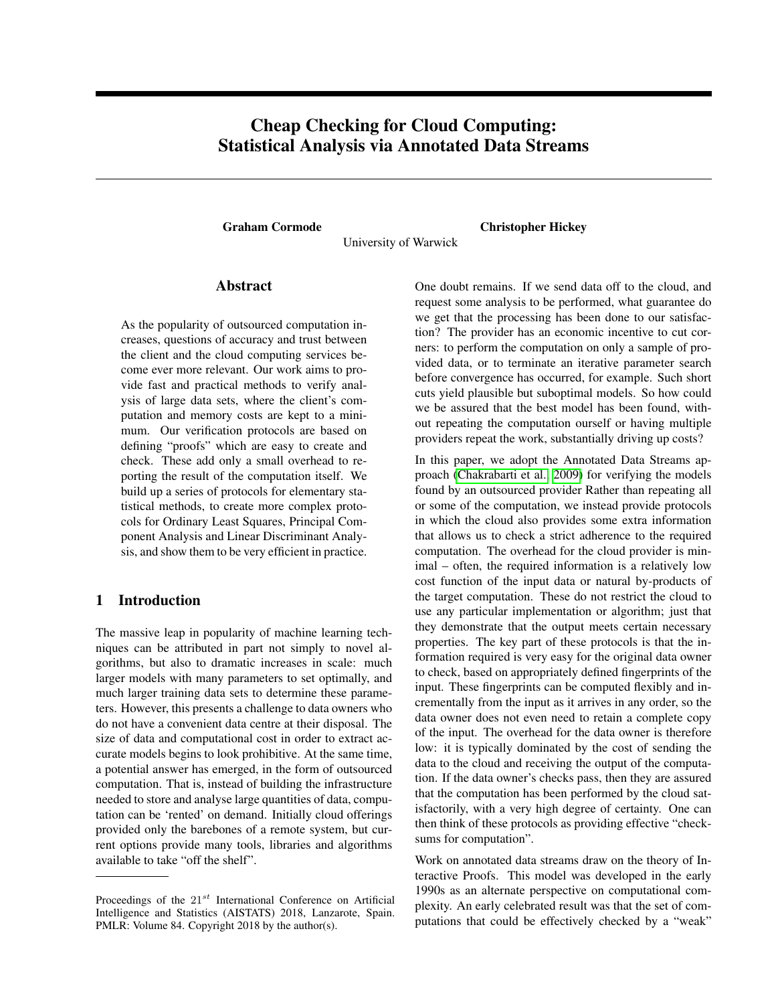# Cheap Checking for Cloud Computing: Statistical Analysis via Annotated Data Streams

Graham Cormode Christopher Hickey

University of Warwick

# Abstract

As the popularity of outsourced computation increases, questions of accuracy and trust between the client and the cloud computing services become ever more relevant. Our work aims to provide fast and practical methods to verify analysis of large data sets, where the client's computation and memory costs are kept to a minimum. Our verification protocols are based on defining "proofs" which are easy to create and check. These add only a small overhead to reporting the result of the computation itself. We build up a series of protocols for elementary statistical methods, to create more complex protocols for Ordinary Least Squares, Principal Component Analysis and Linear Discriminant Analysis, and show them to be very efficient in practice.

# 1 Introduction

The massive leap in popularity of machine learning techniques can be attributed in part not simply to novel algorithms, but also to dramatic increases in scale: much larger models with many parameters to set optimally, and much larger training data sets to determine these parameters. However, this presents a challenge to data owners who do not have a convenient data centre at their disposal. The size of data and computational cost in order to extract accurate models begins to look prohibitive. At the same time, a potential answer has emerged, in the form of outsourced computation. That is, instead of building the infrastructure needed to store and analyse large quantities of data, computation can be 'rented' on demand. Initially cloud offerings provided only the barebones of a remote system, but current options provide many tools, libraries and algorithms available to take "off the shelf".

One doubt remains. If we send data off to the cloud, and request some analysis to be performed, what guarantee do we get that the processing has been done to our satisfaction? The provider has an economic incentive to cut corners: to perform the computation on only a sample of provided data, or to terminate an iterative parameter search before convergence has occurred, for example. Such short cuts yield plausible but suboptimal models. So how could we be assured that the best model has been found, without repeating the computation ourself or having multiple providers repeat the work, substantially driving up costs?

In this paper, we adopt the Annotated Data Streams approach [\(Chakrabarti et al., 2009\)](#page-8-0) for verifying the models found by an outsourced provider Rather than repeating all or some of the computation, we instead provide protocols in which the cloud also provides some extra information that allows us to check a strict adherence to the required computation. The overhead for the cloud provider is minimal – often, the required information is a relatively low cost function of the input data or natural by-products of the target computation. These do not restrict the cloud to use any particular implementation or algorithm; just that they demonstrate that the output meets certain necessary properties. The key part of these protocols is that the information required is very easy for the original data owner to check, based on appropriately defined fingerprints of the input. These fingerprints can be computed flexibly and incrementally from the input as it arrives in any order, so the data owner does not even need to retain a complete copy of the input. The overhead for the data owner is therefore low: it is typically dominated by the cost of sending the data to the cloud and receiving the output of the computation. If the data owner's checks pass, then they are assured that the computation has been performed by the cloud satisfactorily, with a very high degree of certainty. One can then think of these protocols as providing effective "checksums for computation".

Work on annotated data streams draw on the theory of Interactive Proofs. This model was developed in the early 1990s as an alternate perspective on computational complexity. An early celebrated result was that the set of computations that could be effectively checked by a "weak"

Proceedings of the  $21^{st}$  International Conference on Artificial Intelligence and Statistics (AISTATS) 2018, Lanzarote, Spain. PMLR: Volume 84. Copyright 2018 by the author(s).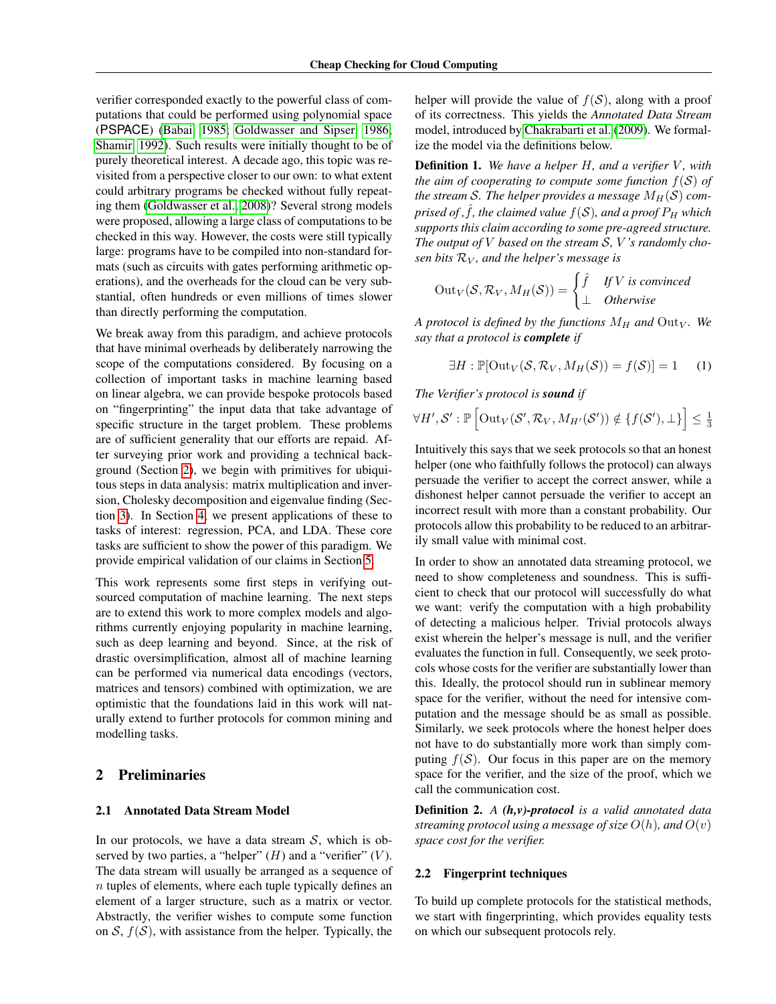verifier corresponded exactly to the powerful class of computations that could be performed using polynomial space (PSPACE) [\(Babai, 1985;](#page-8-1) [Goldwasser and Sipser, 1986;](#page-8-2) [Shamir, 1992\)](#page-8-3). Such results were initially thought to be of purely theoretical interest. A decade ago, this topic was revisited from a perspective closer to our own: to what extent could arbitrary programs be checked without fully repeating them [\(Goldwasser et al., 2008\)](#page-8-4)? Several strong models were proposed, allowing a large class of computations to be checked in this way. However, the costs were still typically large: programs have to be compiled into non-standard formats (such as circuits with gates performing arithmetic operations), and the overheads for the cloud can be very substantial, often hundreds or even millions of times slower than directly performing the computation.

We break away from this paradigm, and achieve protocols that have minimal overheads by deliberately narrowing the scope of the computations considered. By focusing on a collection of important tasks in machine learning based on linear algebra, we can provide bespoke protocols based on "fingerprinting" the input data that take advantage of specific structure in the target problem. These problems are of sufficient generality that our efforts are repaid. After surveying prior work and providing a technical background (Section [2\)](#page-1-0), we begin with primitives for ubiquitous steps in data analysis: matrix multiplication and inversion, Cholesky decomposition and eigenvalue finding (Section [3\)](#page-2-0). In Section [4,](#page-5-0) we present applications of these to tasks of interest: regression, PCA, and LDA. These core tasks are sufficient to show the power of this paradigm. We provide empirical validation of our claims in Section [5.](#page-7-0)

This work represents some first steps in verifying outsourced computation of machine learning. The next steps are to extend this work to more complex models and algorithms currently enjoying popularity in machine learning, such as deep learning and beyond. Since, at the risk of drastic oversimplification, almost all of machine learning can be performed via numerical data encodings (vectors, matrices and tensors) combined with optimization, we are optimistic that the foundations laid in this work will naturally extend to further protocols for common mining and modelling tasks.

#### <span id="page-1-0"></span>2 Preliminaries

#### 2.1 Annotated Data Stream Model

In our protocols, we have a data stream  $S$ , which is observed by two parties, a "helper"  $(H)$  and a "verifier"  $(V)$ . The data stream will usually be arranged as a sequence of  $n$  tuples of elements, where each tuple typically defines an element of a larger structure, such as a matrix or vector. Abstractly, the verifier wishes to compute some function on  $S$ ,  $f(S)$ , with assistance from the helper. Typically, the helper will provide the value of  $f(S)$ , along with a proof of its correctness. This yields the *Annotated Data Stream* model, introduced by [Chakrabarti et al.](#page-8-0) [\(2009\)](#page-8-0). We formalize the model via the definitions below.

**Definition 1.** We have a helper H, and a verifier V, with *the aim of cooperating to compute some function*  $f(S)$  *of* the stream S. The helper provides a message  $M_H(S)$  com*prised of , f, the claimed value*  $f(S)$ *, and a proof*  $P_H$  *which supports this claim according to some pre-agreed structure. The output of* V *based on the stream* S*,* V *'s randomly chosen bits* R<sup>V</sup> *, and the helper's message is*

$$
Out_V(S, \mathcal{R}_V, M_H(S)) = \begin{cases} \hat{f} & \text{if } V \text{ is convinced} \\ \perp & \text{Otherwise} \end{cases}
$$

*A protocol is defined by the functions*  $M_H$  *and*  $Out_V$ *. We say that a protocol is complete if*

$$
\exists H : \mathbb{P}[\text{Out}_V(\mathcal{S}, \mathcal{R}_V, M_H(\mathcal{S})) = f(\mathcal{S})] = 1 \quad (1)
$$

*The Verifier's protocol is sound if*

$$
\forall H', \mathcal{S}' : \mathbb{P}\left[\mathrm{Out}_V(\mathcal{S}', \mathcal{R}_V, M_{H'}(\mathcal{S}')) \notin \{f(\mathcal{S}'), \perp\}\right] \leq \frac{1}{3}
$$

Intuitively this says that we seek protocols so that an honest helper (one who faithfully follows the protocol) can always persuade the verifier to accept the correct answer, while a dishonest helper cannot persuade the verifier to accept an incorrect result with more than a constant probability. Our protocols allow this probability to be reduced to an arbitrarily small value with minimal cost.

In order to show an annotated data streaming protocol, we need to show completeness and soundness. This is sufficient to check that our protocol will successfully do what we want: verify the computation with a high probability of detecting a malicious helper. Trivial protocols always exist wherein the helper's message is null, and the verifier evaluates the function in full. Consequently, we seek protocols whose costs for the verifier are substantially lower than this. Ideally, the protocol should run in sublinear memory space for the verifier, without the need for intensive computation and the message should be as small as possible. Similarly, we seek protocols where the honest helper does not have to do substantially more work than simply computing  $f(S)$ . Our focus in this paper are on the memory space for the verifier, and the size of the proof, which we call the communication cost.

Definition 2. *A (h,v)-protocol is a valid annotated data streaming protocol using a message of size*  $O(h)$ *, and*  $O(v)$ *space cost for the verifier.*

#### <span id="page-1-1"></span>2.2 Fingerprint techniques

To build up complete protocols for the statistical methods, we start with fingerprinting, which provides equality tests on which our subsequent protocols rely.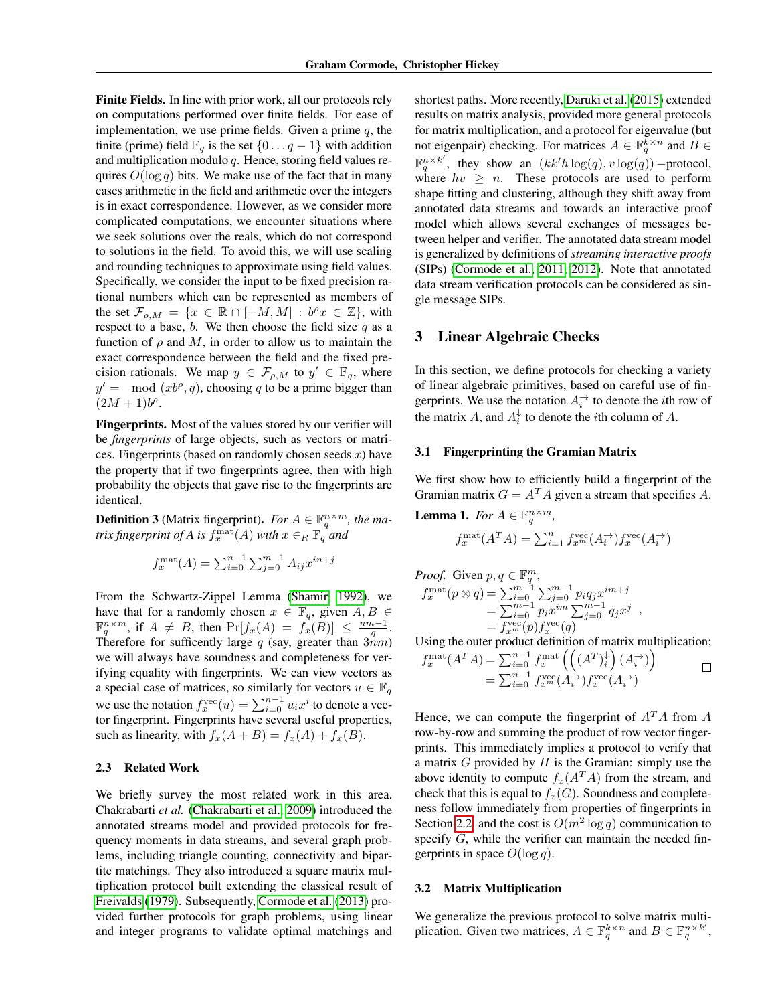Finite Fields. In line with prior work, all our protocols rely on computations performed over finite fields. For ease of implementation, we use prime fields. Given a prime  $q$ , the finite (prime) field  $\mathbb{F}_q$  is the set  $\{0 \dots q-1\}$  with addition and multiplication modulo  $q$ . Hence, storing field values requires  $O(\log q)$  bits. We make use of the fact that in many cases arithmetic in the field and arithmetic over the integers is in exact correspondence. However, as we consider more complicated computations, we encounter situations where we seek solutions over the reals, which do not correspond to solutions in the field. To avoid this, we will use scaling and rounding techniques to approximate using field values. Specifically, we consider the input to be fixed precision rational numbers which can be represented as members of the set  $\mathcal{F}_{\rho,M} = \{x \in \mathbb{R} \cap [-M,M] : b^{\rho}x \in \mathbb{Z}\},\$  with respect to a base,  $b$ . We then choose the field size  $q$  as a function of  $\rho$  and M, in order to allow us to maintain the exact correspondence between the field and the fixed precision rationals. We map  $y \in \mathcal{F}_{\rho,M}$  to  $y' \in \mathbb{F}_q$ , where  $y' = \text{mod} (xb^\rho, q)$ , choosing q to be a prime bigger than  $(2M + 1)b^{\rho}$ .

Fingerprints. Most of the values stored by our verifier will be *fingerprints* of large objects, such as vectors or matrices. Fingerprints (based on randomly chosen seeds  $x$ ) have the property that if two fingerprints agree, then with high probability the objects that gave rise to the fingerprints are identical.

**Definition 3** (Matrix fingerprint). *For*  $A \in \mathbb{F}_q^{n \times m}$ , the ma*trix fingerprint of A is*  $f_x^{\text{mat}}(A)$  *with*  $x \in_R \mathbb{F}_q^{\mathcal{A}}$  and

$$
f_x^{\text{mat}}(A) = \sum_{i=0}^{n-1} \sum_{j=0}^{m-1} A_{ij} x^{in+j}
$$

From the Schwartz-Zippel Lemma [\(Shamir, 1992\)](#page-8-3), we have that for a randomly chosen  $x \in \mathbb{F}_q$ , given  $A, B \in$  $\mathbb{F}_q^{n \times m}$ , if  $A \neq B$ , then  $\Pr[f_x(A) = f_x(B)] \leq \frac{nm-1}{q}$ . Therefore for sufficently large q (say, greater than  $3nm$ ) we will always have soundness and completeness for verifying equality with fingerprints. We can view vectors as a special case of matrices, so similarly for vectors  $u \in \mathbb{F}_q$ we use the notation  $f_x^{\text{vec}}(u) = \sum_{i=0}^{n-1} u_i x^i$  to denote a vector fingerprint. Fingerprints have several useful properties, such as linearity, with  $f_x(A + B) = f_x(A) + f_x(B)$ .

#### 2.3 Related Work

We briefly survey the most related work in this area. Chakrabarti *et al.* [\(Chakrabarti et al., 2009\)](#page-8-0) introduced the annotated streams model and provided protocols for frequency moments in data streams, and several graph problems, including triangle counting, connectivity and bipartite matchings. They also introduced a square matrix multiplication protocol built extending the classical result of [Freivalds](#page-8-5) [\(1979\)](#page-8-5). Subsequently, [Cormode et al.](#page-8-6) [\(2013\)](#page-8-6) provided further protocols for graph problems, using linear and integer programs to validate optimal matchings and

shortest paths. More recently, [Daruki et al.](#page-8-7) [\(2015\)](#page-8-7) extended results on matrix analysis, provided more general protocols for matrix multiplication, and a protocol for eigenvalue (but not eigenpair) checking. For matrices  $A \in \mathbb{F}_q^{k \times n}$  and  $B \in$  $\mathbb{F}_q^{n \times k'}$ , they show an  $(kk'h \log(q), v \log(q))$  – protocol, where  $hv \geq n$ . These protocols are used to perform shape fitting and clustering, although they shift away from annotated data streams and towards an interactive proof model which allows several exchanges of messages between helper and verifier. The annotated data stream model is generalized by definitions of *streaming interactive proofs* (SIPs) [\(Cormode et al., 2011,](#page-8-8) [2012\)](#page-8-9). Note that annotated data stream verification protocols can be considered as single message SIPs.

## <span id="page-2-0"></span>**Linear Algebraic Checks**

In this section, we define protocols for checking a variety of linear algebraic primitives, based on careful use of fingerprints. We use the notation  $A_i^{\rightarrow}$  to denote the *i*th row of the matrix A, and  $A_i^{\downarrow}$  to denote the *i*th column of A.

#### <span id="page-2-3"></span>3.1 Fingerprinting the Gramian Matrix

We first show how to efficiently build a fingerprint of the Gramian matrix  $G = A^T A$  given a stream that specifies A.

<span id="page-2-1"></span>**Lemma 1.** For 
$$
A \in \mathbb{F}_q^{n \times m}
$$
,  
\n
$$
f_x^{\text{mat}}(A^T A) = \sum_{i=1}^n f_{x^m}^{\text{vec}}(A_i^{\rightarrow}) f_x^{\text{vec}}(A_i^{\rightarrow})
$$

*Proof.* Given  $p, q \in \mathbb{F}_q^m$ ,

$$
f_x^{\text{mat}}(p \otimes q) = \sum_{i=0}^{m-1} \sum_{j=0}^{m-1} p_i q_j x^{im+j}
$$
  
= 
$$
\sum_{i=0}^{m-1} p_i x^{im} \sum_{j=0}^{m-1} q_j x^j
$$
  
= 
$$
f_x^{\text{vec}}(p) f_x^{\text{vec}}(q)
$$

Using the outer product definition of matrix multiplication;

$$
f_x^{\text{mat}}(A^T A) = \sum_{i=0}^{n-1} f_x^{\text{mat}} \left( \left( (A^T)_i^{\downarrow} \right) (A_i^{\rightarrow}) \right)
$$
  
= 
$$
\sum_{i=0}^{n-1} f_{x^m}^{\text{vec}}(A_i^{\rightarrow}) f_x^{\text{vec}}(A_i^{\rightarrow})
$$

Hence, we can compute the fingerprint of  $A<sup>T</sup>A$  from A row-by-row and summing the product of row vector fingerprints. This immediately implies a protocol to verify that a matrix  $G$  provided by  $H$  is the Gramian: simply use the above identity to compute  $f_x(A^T A)$  from the stream, and check that this is equal to  $f_x(G)$ . Soundness and completeness follow immediately from properties of fingerprints in Section [2.2,](#page-1-1) and the cost is  $O(m^2 \log q)$  communication to specify G, while the verifier can maintain the needed fingerprints in space  $O(\log q)$ .

#### <span id="page-2-2"></span>3.2 Matrix Multiplication

We generalize the previous protocol to solve matrix multiplication. Given two matrices,  $A \in \mathbb{F}_q^{k \times n}$  and  $B \in \mathbb{F}_q^{n \times k'}$ ,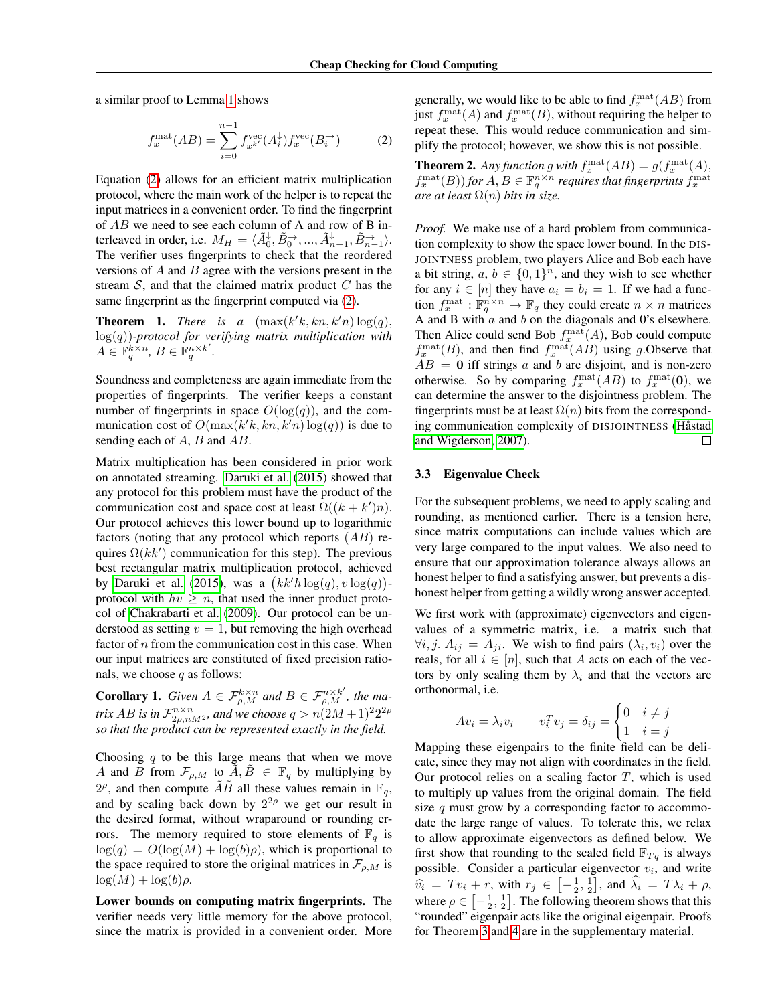a similar proof to Lemma [1](#page-2-1) shows

<span id="page-3-0"></span>
$$
f_x^{\text{mat}}(AB) = \sum_{i=0}^{n-1} f_{x^{k'}}^{\text{vec}}(A_i^{\downarrow}) f_x^{\text{vec}}(B_i^{\to})
$$
 (2)

Equation [\(2\)](#page-3-0) allows for an efficient matrix multiplication protocol, where the main work of the helper is to repeat the input matrices in a convenient order. To find the fingerprint of AB we need to see each column of A and row of B interleaved in order, i.e.  $M_H = \langle \tilde{A}_0^{\downarrow}, \tilde{B}_0^{\rightarrow}, ..., \tilde{A}_{n-1}^{\downarrow}, \tilde{B}_{n-1}^{\rightarrow} \rangle$ . The verifier uses fingerprints to check that the reordered versions of  $A$  and  $B$  agree with the versions present in the stream  $S$ , and that the claimed matrix product  $C$  has the same fingerprint as the fingerprint computed via [\(2\)](#page-3-0).

<span id="page-3-1"></span>**Theorem 1.** *There is a*  $(\max(k'k, kn, k'n) \log(q))$ , log(q))*-protocol for verifying matrix multiplication with*  $A \in \mathbb{F}_q^{k \times n}, B \in \mathbb{F}_q^{n \times k'}.$ 

Soundness and completeness are again immediate from the properties of fingerprints. The verifier keeps a constant number of fingerprints in space  $O(log(q))$ , and the communication cost of  $O(\max(k'k, kn, k'n) \log(q))$  is due to sending each of A, B and AB.

Matrix multiplication has been considered in prior work on annotated streaming. [Daruki et al.](#page-8-7) [\(2015\)](#page-8-7) showed that any protocol for this problem must have the product of the communication cost and space cost at least  $\Omega((k + k')n)$ . Our protocol achieves this lower bound up to logarithmic factors (noting that any protocol which reports  $(AB)$  requires  $\Omega(kk')$  communication for this step). The previous best rectangular matrix multiplication protocol, achieved by [Daruki et al.](#page-8-7) [\(2015\)](#page-8-7), was a  $(kk'h \log(q), v \log(q))$ protocol with  $hv \geq n$ , that used the inner product protocol of [Chakrabarti et al.](#page-8-0) [\(2009\)](#page-8-0). Our protocol can be understood as setting  $v = 1$ , but removing the high overhead factor of  $n$  from the communication cost in this case. When our input matrices are constituted of fixed precision rationals, we choose  $q$  as follows:

**Corollary 1.** Given  $A \in \mathcal{F}_{\rho,M}^{k \times n}$  and  $B \in \mathcal{F}_{\rho,M}^{n \times k'}$ , the ma*trix*  $AB$  *is in*  $\mathcal{F}^{n \times n}_{2\rho,nM^2}$ *, and we choose*  $q > n(2M+1)^2 2^{2\rho}$ *so that the product can be represented exactly in the field.*

Choosing  $q$  to be this large means that when we move A and B from  $\mathcal{F}_{\rho,M}$  to  $A, B \in \mathbb{F}_q$  by multiplying by  $2^{\rho}$ , and then compute  $\tilde{A}\tilde{B}$  all these values remain in  $\mathbb{F}_q$ , and by scaling back down by  $2^{2\rho}$  we get our result in the desired format, without wraparound or rounding errors. The memory required to store elements of  $\mathbb{F}_q$  is  $log(q) = O(log(M) + log(b)\rho)$ , which is proportional to the space required to store the original matrices in  $\mathcal{F}_{\rho,M}$  is  $\log(M) + \log(b)\rho$ .

Lower bounds on computing matrix fingerprints. The verifier needs very little memory for the above protocol, since the matrix is provided in a convenient order. More

generally, we would like to be able to find  $f_x^{\text{mat}}(AB)$  from just  $f_x^{\text{mat}}(A)$  and  $f_x^{\text{mat}}(B)$ , without requiring the helper to repeat these. This would reduce communication and simplify the protocol; however, we show this is not possible.

**Theorem 2.** Any function g with  $f_x^{\text{mat}}(AB) = g(f_x^{\text{mat}}(A),$  $f_x^{\text{mat}}(B)$  *for*  $A, B \in \mathbb{F}_q^{n \times n}$  requires that fingerprints  $f_x^{\text{mat}}$ *are at least*  $\Omega(n)$  *bits in size.* 

*Proof.* We make use of a hard problem from communication complexity to show the space lower bound. In the DIS-JOINTNESS problem, two players Alice and Bob each have a bit string,  $a, b \in \{0, 1\}^n$ , and they wish to see whether for any  $i \in [n]$  they have  $a_i = b_i = 1$ . If we had a function  $f_x^{\text{mat}} : \mathbb{F}_q^{n \times n} \to \mathbb{F}_q$  they could create  $n \times n$  matrices A and B with  $a$  and  $b$  on the diagonals and 0's elsewhere. Then Alice could send Bob  $f_x^{\text{mat}}(A)$ , Bob could compute  $f_x^{\text{mat}}(B)$ , and then find  $f_x^{\text{mat}}(AB)$  using g. Observe that  $AB = 0$  iff strings a and b are disjoint, and is non-zero otherwise. So by comparing  $f_x^{\text{mat}}(AB)$  to  $f_x^{\text{mat}}(0)$ , we can determine the answer to the disjointness problem. The fingerprints must be at least  $\Omega(n)$  bits from the corresponding communication complexity of DISJOINTNESS (Håstad [and Wigderson, 2007\)](#page-8-10). □

#### <span id="page-3-2"></span>3.3 Eigenvalue Check

For the subsequent problems, we need to apply scaling and rounding, as mentioned earlier. There is a tension here, since matrix computations can include values which are very large compared to the input values. We also need to ensure that our approximation tolerance always allows an honest helper to find a satisfying answer, but prevents a dishonest helper from getting a wildly wrong answer accepted.

We first work with (approximate) eigenvectors and eigenvalues of a symmetric matrix, i.e. a matrix such that  $\forall i, j. A_{ij} = A_{ji}$ . We wish to find pairs  $(\lambda_i, v_i)$  over the reals, for all  $i \in [n]$ , such that A acts on each of the vectors by only scaling them by  $\lambda_i$  and that the vectors are orthonormal, i.e.

$$
Av_i = \lambda_i v_i \qquad v_i^T v_j = \delta_{ij} = \begin{cases} 0 & i \neq j \\ 1 & i = j \end{cases}
$$

Mapping these eigenpairs to the finite field can be delicate, since they may not align with coordinates in the field. Our protocol relies on a scaling factor  $T$ , which is used to multiply up values from the original domain. The field size  $q$  must grow by a corresponding factor to accommodate the large range of values. To tolerate this, we relax to allow approximate eigenvectors as defined below. We first show that rounding to the scaled field  $\mathbb{F}_{Tq}$  is always possible. Consider a particular eigenvector  $v_i$ , and write  $\widehat{v}_i = Tv_i + r$ , with  $r_j \in [-\frac{1}{2}, \frac{1}{2}]$ , and  $\widehat{\lambda}_i = T\lambda_i + \rho$ ,<br>where  $\lambda_i \in [-1, 1]$ . The following theorem shows that this where  $\rho \in \left[ -\frac{1}{2}, \frac{1}{2} \right]$ . The following theorem shows that this "rounded" eigenpair acts like the original eigenpair. Proofs for Theorem [3](#page-4-0) and [4](#page-4-1) are in the supplementary material.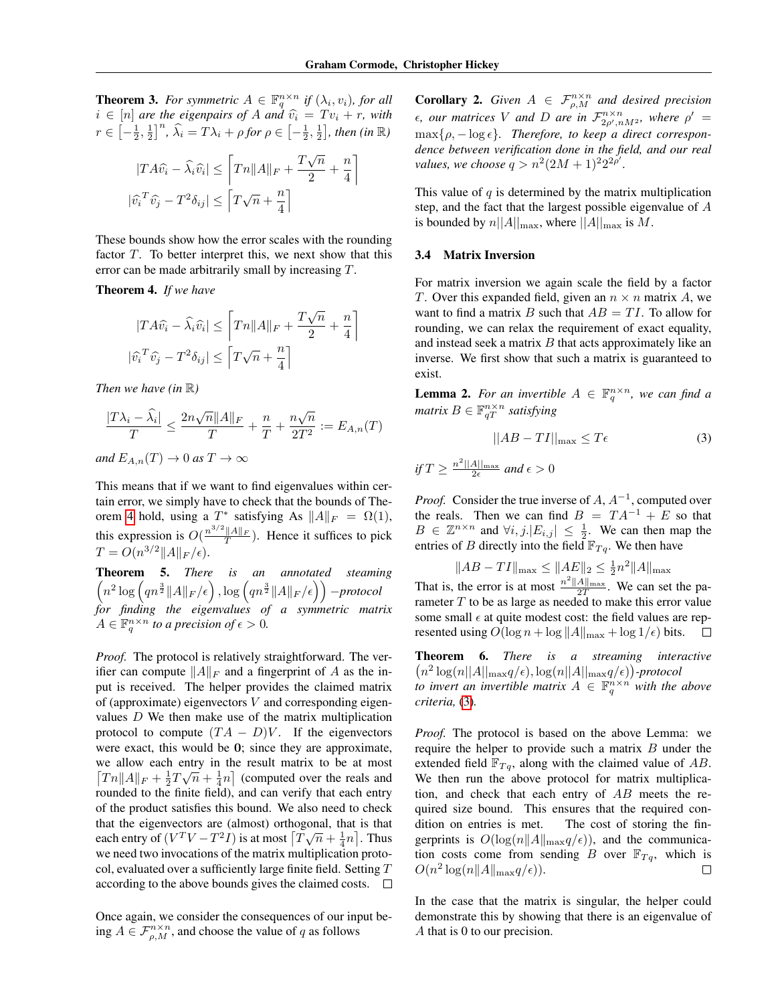<span id="page-4-0"></span>**Theorem 3.** For symmetric  $A \in \mathbb{F}_q^{n \times n}$  if  $(\lambda_i, v_i)$ , for all  $i \in [n]$  *are the eigenpairs of A and*  $\hat{v}_i = Tv_i + r$ *, with*<br> $v \in [1, 1, 1]^n$   $\hat{v}_i = T$ *n*,  $v_i$  *km*  $\hat{v}_i = [1, 1, 1]$  *km*  $(v_i, m)$  $r \in \left[-\frac{1}{2},\frac{1}{2}\right]^{n}$ ,  $\widehat{\lambda}_i = T\lambda_i + \rho$  for  $\rho \in \left[-\frac{1}{2},\frac{1}{2}\right]$ , then (in  $\mathbb{R}$ )

$$
|TA\hat{v_i} - \hat{\lambda_i}\hat{v_i}| \le \left[Tn||A||_F + \frac{T\sqrt{n}}{2} + \frac{n}{4}\right]
$$

$$
|\hat{v_i}^T\hat{v_j} - T^2\delta_{ij}| \le \left[T\sqrt{n} + \frac{n}{4}\right]
$$

These bounds show how the error scales with the rounding factor  $T$ . To better interpret this, we next show that this error can be made arbitrarily small by increasing T.

<span id="page-4-1"></span>Theorem 4. *If we have*

$$
|TA\hat{v_i} - \hat{\lambda_i}\hat{v_i}| \le \left[Tn||A||_F + \frac{T\sqrt{n}}{2} + \frac{n}{4}\right]
$$

$$
|\hat{v_i}^T\hat{v_j} - T^2\delta_{ij}| \le \left[T\sqrt{n} + \frac{n}{4}\right]
$$

*Then we have (in* R*)*

$$
\frac{|T\lambda_i-\widehat{\lambda}_i|}{T}\leq \frac{2n\sqrt{n}\|A\|_F}{T}+\frac{n}{T}+\frac{n\sqrt{n}}{2T^2}:=E_{A,n}(T)
$$

*and*  $E_{A,n}(T) \to 0$  *as*  $T \to \infty$ 

This means that if we want to find eigenvalues within certain error, we simply have to check that the bounds of The-orem [4](#page-4-1) hold, using a  $T^*$  satisfying As  $||A||_F = \Omega(1)$ , this expression is  $O(\frac{n^{3/2}||A||_F}{T})$ . Hence it suffices to pick  $T = O(n^{3/2} ||A||_F/\epsilon).$ 

Theorem 5. *There is an annotated steaming*  $\left(n^2\log\left(qn^{\frac{3}{2}}\|A\|_F/\epsilon\right),\log\left(qn^{\frac{3}{2}}\|A\|_F/\epsilon\right)\right)$  -protocol *for finding the eigenvalues of a symmetric matrix*  $A \in \mathbb{F}_q^{n \times n}$  to a precision of  $\epsilon > 0$ .

*Proof.* The protocol is relatively straightforward. The verifier can compute  $||A||_F$  and a fingerprint of A as the input is received. The helper provides the claimed matrix of (approximate) eigenvectors  $V$  and corresponding eigenvalues D We then make use of the matrix multiplication protocol to compute  $(TA - D)V$ . If the eigenvectors were exact, this would be 0; since they are approximate, we allow each entry in the result matrix to be at most  $\left[ T\mathbf{n} \| A \|_F + \frac{1}{2}T\sqrt{n} + \frac{1}{4}\mathbf{n} \right]$  (computed over the reals and rounded to the finite field), and can verify that each entry of the product satisfies this bound. We also need to check that the eigenvectors are (almost) orthogonal, that is that that the eigenvectors are (almost) orthogonal, that is that<br>each entry of  $(V^T V - T^2 I)$  is at most  $[T\sqrt{n} + \frac{1}{4}n]$ . Thus we need two invocations of the matrix multiplication protocol, evaluated over a sufficiently large finite field. Setting  $T$ according to the above bounds gives the claimed costs.  $\Box$ 

Once again, we consider the consequences of our input being  $A \in \mathcal{F}_{\rho,M}^{n \times n}$ , and choose the value of q as follows

**Corollary 2.** *Given*  $A \in \mathcal{F}_{\rho,M}^{n \times n}$  *and desired precision*  $\epsilon$ , *our matrices* V and D are in  $\mathcal{F}_{2\rho',nM^2}^{n \times n}$ , where  $\rho' =$  $\max\{\rho, -\log \epsilon\}.$  Therefore, to keep a direct correspon*dence between verification done in the field, and our real values, we choose*  $q > n^2(2M + 1)^2 2^{2p'}$ .

This value of  $q$  is determined by the matrix multiplication step, and the fact that the largest possible eigenvalue of A is bounded by  $n||A||_{\text{max}}$ , where  $||A||_{\text{max}}$  is M.

#### 3.4 Matrix Inversion

For matrix inversion we again scale the field by a factor T. Over this expanded field, given an  $n \times n$  matrix A, we want to find a matrix B such that  $AB = TI$ . To allow for rounding, we can relax the requirement of exact equality, and instead seek a matrix  $B$  that acts approximately like an inverse. We first show that such a matrix is guaranteed to exist.

**Lemma 2.** For an invertible  $A \in \mathbb{F}_q^{n \times n}$ , we can find a  $matrix B \in \mathbb{F}_{qT}^{n \times n}$  satisfying

<span id="page-4-2"></span>
$$
||AB - TI||_{\text{max}} \le T\epsilon \tag{3}
$$

*if*  $T \geq \frac{n^2 ||A||_{\max}}{2\epsilon}$  and  $\epsilon > 0$ 

*Proof.* Consider the true inverse of  $A, A^{-1}$ , computed over the reals. Then we can find  $B = TA^{-1} + E$  so that  $B \in \mathbb{Z}^{n \times n}$  and  $\forall i, j$ .  $|E_{i,j}| \leq \frac{1}{2}$ . We can then map the entries of B directly into the field  $\mathbb{F}_{T_q}$ . We then have

 $||AB - TI||_{\text{max}} \leq ||A E||_2 \leq \frac{1}{2} n^2 ||A||_{\text{max}}$ That is, the error is at most  $\frac{n^2||A||_{\text{max}}}{2T}$ . We can set the parameter  $T$  to be as large as needed to make this error value some small  $\epsilon$  at quite modest cost: the field values are represented using  $O(\log n + \log ||A||_{\max} + \log 1/\epsilon)$  bits.  $\Box$ 

Theorem 6. *There is a streaming interactive*  $(n^2 \log(n||A||_{\max}q/\epsilon), \log(n||A||_{\max}q/\epsilon))$ -protocol *to invert an invertible matrix*  $A \in \mathbb{F}_q^{n \times n}$  with the above *criteria,* [\(3\)](#page-4-2)*.*

*Proof.* The protocol is based on the above Lemma: we require the helper to provide such a matrix  $B$  under the extended field  $\mathbb{F}_{T,q}$ , along with the claimed value of AB. We then run the above protocol for matrix multiplication, and check that each entry of  $AB$  meets the required size bound. This ensures that the required condition on entries is met. The cost of storing the fingerprints is  $O(\log(n||A||_{\max}q/\epsilon))$ , and the communication costs come from sending B over  $\mathbb{F}_{T,q}$ , which is  $O(n^2 \log(n||A||_{\max}q/\epsilon)).$ П

In the case that the matrix is singular, the helper could demonstrate this by showing that there is an eigenvalue of A that is 0 to our precision.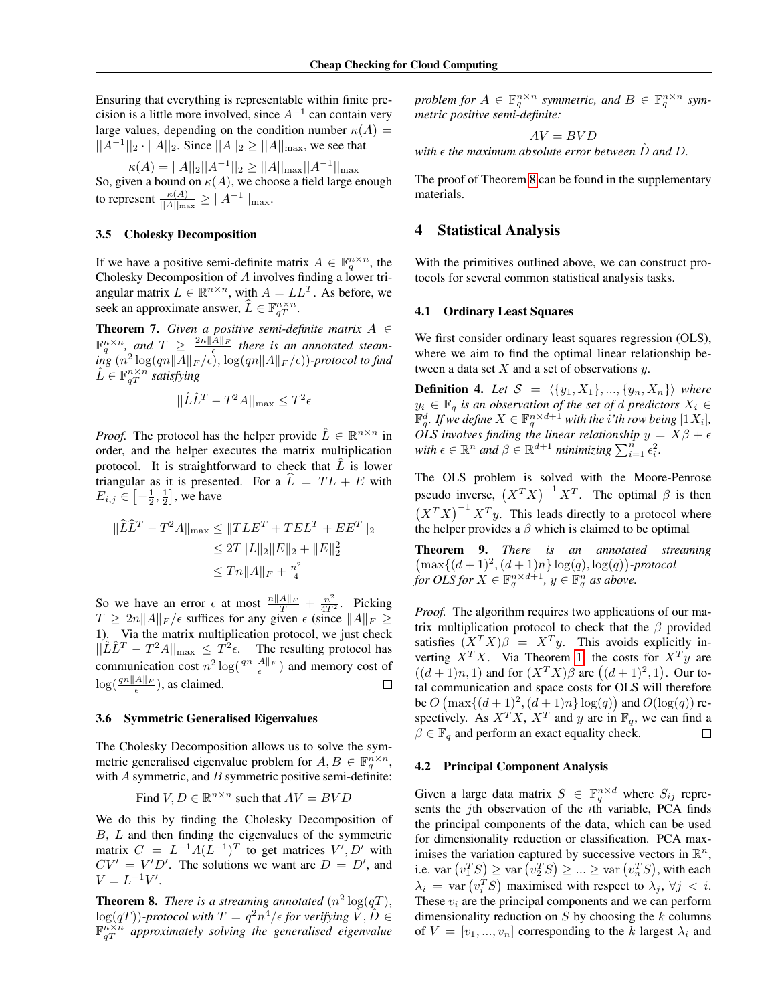Ensuring that everything is representable within finite precision is a little more involved, since  $A^{-1}$  can contain very large values, depending on the condition number  $\kappa(A)$  =  $||A^{-1}||_2 \cdot ||A||_2$ . Since  $||A||_2 \ge ||A||_{\text{max}}$ , we see that

$$
\kappa(A) = ||A||_2 ||A^{-1}||_2 \ge ||A||_{\max} ||A^{-1}||_{\max}
$$

So, given a bound on  $\kappa(A)$ , we choose a field large enough to represent  $\frac{\kappa(A)}{||A||_{\max}} \geq ||A^{-1}||_{\max}$ .

#### 3.5 Cholesky Decomposition

If we have a positive semi-definite matrix  $A \in \mathbb{F}_q^{n \times n}$ , the Cholesky Decomposition of A involves finding a lower triangular matrix  $L \in \mathbb{R}^{n \times n}$ , with  $A = LL^T$ . As before, we seek an approximate answer,  $\widehat{L} \in \mathbb{F}_{qT}^{n \times n}$ .

Theorem 7. *Given a positive semi-definite matrix* A ∈  $\mathbb{F}_q^{n \times n}$ , and  $T \geq \frac{2n||A||_F}{\epsilon}$  there is an annotated steam- $\inf g$   $(n^2\log(qn\|A\|_F/\epsilon), \log(qn\|A\|_F/\epsilon))$ -protocol to find  $\hat{L} \in \mathbb{F}_{qT}^{n \times n}$  satisfying

$$
||\hat{L}\hat{L}^T - T^2A||_{\max} \leq T^2\epsilon
$$

*Proof.* The protocol has the helper provide  $\hat{L} \in \mathbb{R}^{n \times n}$  in order, and the helper executes the matrix multiplication protocol. It is straightforward to check that  $L$  is lower triangular as it is presented. For a  $L = TL + E$  with  $E_{i,j} \in \left[ -\frac{1}{2}, \frac{1}{2} \right]$ , we have

$$
\|\widehat{L}\widehat{L}^T - T^2A\|_{\max} \le \|TLE^T + TEL^T + EE^T\|_2
$$
  
\n
$$
\le 2T\|L\|_2\|E\|_2 + \|E\|_2^2
$$
  
\n
$$
\le Tn\|A\|_F + \frac{n^2}{4}
$$

So we have an error  $\epsilon$  at most  $\frac{n||A||_F}{T} + \frac{n^2}{4T^2}$ . Picking  $T \ge 2n||A||_F/\epsilon$  suffices for any given  $\epsilon$  (since  $||A||_F \ge$ 1). Via the matrix multiplication protocol, we just check  $||\hat{L}\hat{L}^T - T^2A||_{\text{max}} \leq T^2\epsilon$ . The resulting protocol has communication cost  $n^2 \log(\frac{qn||A||_F}{\epsilon})$  and memory cost of  $\log(\frac{qn||A||_F}{\epsilon})$ , as claimed.  $\Box$ 

#### <span id="page-5-2"></span>3.6 Symmetric Generalised Eigenvalues

The Cholesky Decomposition allows us to solve the symmetric generalised eigenvalue problem for  $A, B \in \mathbb{F}_q^{n \times n}$ , with  $\vec{A}$  symmetric, and  $\vec{B}$  symmetric positive semi-definite:

Find 
$$
V, D \in \mathbb{R}^{n \times n}
$$
 such that  $AV = BVD$ 

We do this by finding the Cholesky Decomposition of  $B, L$  and then finding the eigenvalues of the symmetric matrix  $C = L^{-1}A(L^{-1})^T$  to get matrices  $V', D'$  with  $CV' = V'D'$ . The solutions we want are  $D = D'$ , and  $V = L^{-1}V'.$ 

<span id="page-5-1"></span>**Theorem 8.** *There is a streaming annotated*  $(n^2 \log(qT))$ ,  $\log(qT)$ )-protocol with  $T=q^2n^4/\epsilon$  for verifying  $\tilde{V}, \tilde{D}\in$  $\mathbb{F}_{qT}^{n\times n}$  approximately solving the generalised eigenvalue

*problem for*  $A \in \mathbb{F}_q^{n \times n}$  *symmetric, and*  $B \in \mathbb{F}_q^{n \times n}$  *symmetric positive semi-definite:*

$$
AV = BVD
$$
  
with  $\epsilon$  the maximum absolute error between  $\hat{D}$  and  $D$ .

The proof of Theorem [8](#page-5-1) can be found in the supplementary materials.

### <span id="page-5-0"></span>4 Statistical Analysis

With the primitives outlined above, we can construct protocols for several common statistical analysis tasks.

#### 4.1 Ordinary Least Squares

We first consider ordinary least squares regression (OLS), where we aim to find the optimal linear relationship between a data set  $X$  and a set of observations  $y$ .

**Definition 4.** Let  $S = \langle \{y_1, X_1\}, ..., \{y_n, X_n\} \rangle$  where  $y_i$  ∈  $\mathbb{F}_q$  *is an observation of the set of d predictors*  $X_i$  ∈  $\mathbb{F}_q^d$ *. If we define*  $X \in \mathbb{F}_q^{n \times d+1}$  with the *i*'th row being  $[1X_i]$ *, OLS involves finding the linear relationship*  $y = X\beta + \epsilon$  $\text{with } \epsilon \in \mathbb{R}^n \text{ and } \beta \in \mathbb{R}^{d+1} \text{ minimizing } \sum_{i=1}^n \epsilon_i^2.$ 

The OLS problem is solved with the Moore-Penrose pseudo inverse,  $(X^T X)^{-1} X^T$ . The optimal  $\beta$  is then  $(X^T X)^{-1} X^T y$ . This leads directly to a protocol where the helper provides a  $\beta$  which is claimed to be optimal

Theorem 9. *There is an annotated streaming*  $\{\max\{(d+1)^2, (d+1)n\} \log(q), \log(q)\}$ -protocol *for OLS for*  $X \in \mathbb{F}_q^{n \times d+1}$ ,  $y \in \mathbb{F}_q^n$  as above.

*Proof.* The algorithm requires two applications of our matrix multiplication protocol to check that the  $\beta$  provided satisfies  $(X^T X)\beta = X^T y$ . This avoids explicitly inverting  $X^T X$ . Via Theorem [1,](#page-3-1) the costs for  $X^T y$  are  $((d+1)n, 1)$  and for  $(X^T X)\beta$  are  $((d+1)^2, 1)$ . Our total communication and space costs for OLS will therefore be  $O(\max\{(d+1)^2, (d+1)n\} \log(q))$  and  $O(\log(q))$  respectively. As  $X^T X$ ,  $X^T$  and y are in  $\mathbb{F}_q$ , we can find a  $\beta \in \mathbb{F}_q$  and perform an exact equality check.  $\Box$ 

#### 4.2 Principal Component Analysis

Given a large data matrix  $S \in \mathbb{F}_q^{n \times d}$  where  $S_{ij}$  represents the *j*th observation of the *i*th variable, PCA finds the principal components of the data, which can be used for dimensionality reduction or classification. PCA maximises the variation captured by successive vectors in  $\mathbb{R}^n$ , i.e.  $\text{var}\left(v_1^TS\right) \geq \text{var}\left(v_2^TS\right) \geq ... \geq \text{var}\left(v_n^TS\right)$ , with each  $\lambda_i$  = var  $(v_i^T S)$  maximised with respect to  $\lambda_j$ ,  $\forall j \, < \, i$ . These  $v_i$  are the principal components and we can perform dimensionality reduction on  $S$  by choosing the  $k$  columns of  $V = [v_1, ..., v_n]$  corresponding to the k largest  $\lambda_i$  and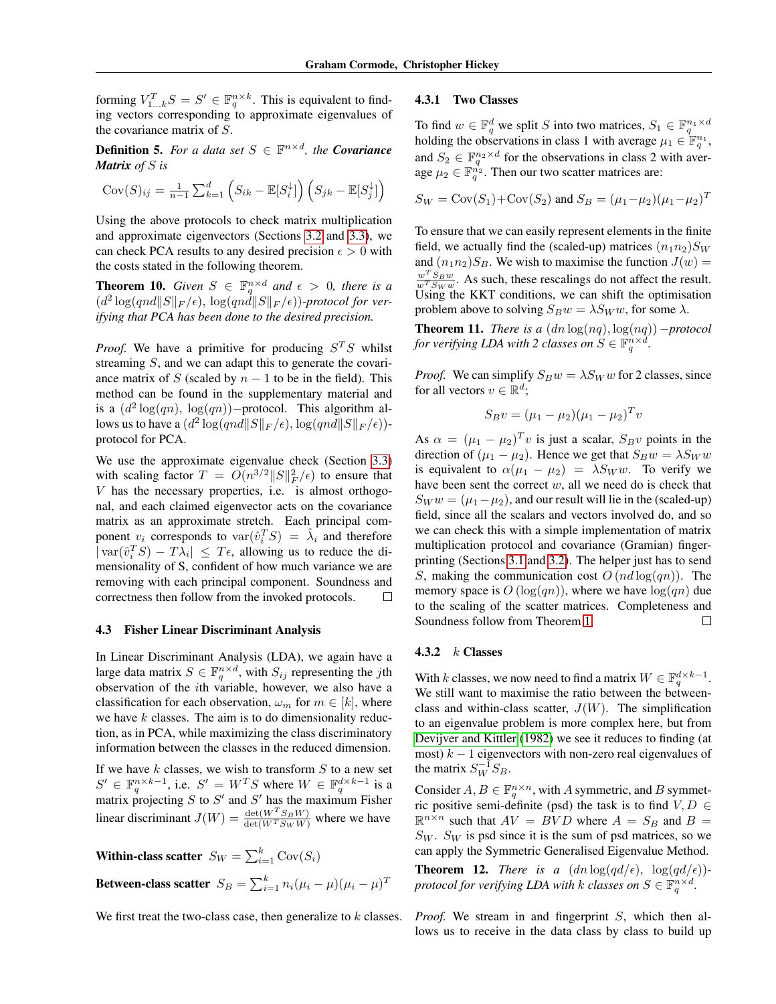forming  $V_{1...k}^T S = S' \in \mathbb{F}_q^{n \times k}$ . This is equivalent to finding vectors corresponding to approximate eigenvalues of the covariance matrix of S.

**Definition 5.** For a data set  $S \in \mathbb{F}^{n \times d}$ , the **Covariance** *Matrix of* S *is*

$$
Cov(S)_{ij} = \frac{1}{n-1} \sum_{k=1}^{d} \left( S_{ik} - \mathbb{E}[S_i^{\downarrow}] \right) \left( S_{jk} - \mathbb{E}[S_j^{\downarrow}] \right)
$$

Using the above protocols to check matrix multiplication and approximate eigenvectors (Sections [3.2](#page-2-2) and [3.3\)](#page-3-2), we can check PCA results to any desired precision  $\epsilon > 0$  with the costs stated in the following theorem.

**Theorem 10.** *Given*  $S \in \mathbb{F}_q^{n \times d}$  *and*  $\epsilon > 0$ *, there is a*  $(d^2\log(qnd\|S\|_F/\epsilon), \log(qnd\|S\|_F/\epsilon))$ -protocol for ver*ifying that PCA has been done to the desired precision.*

*Proof.* We have a primitive for producing  $S^T S$  whilst streaming  $S$ , and we can adapt this to generate the covariance matrix of S (scaled by  $n - 1$  to be in the field). This method can be found in the supplementary material and is a  $(d^2 \log(qn), \log(qn))$ -protocol. This algorithm allows us to have a  $(d^2\log(qnd\|S\|_F/\epsilon), \log(qnd\|S\|_F/\epsilon))$ protocol for PCA.

We use the approximate eigenvalue check (Section [3.3\)](#page-3-2) with scaling factor  $T = O(n^{3/2} ||S||_F^2/\epsilon)$  to ensure that V has the necessary properties, i.e. is almost orthogonal, and each claimed eigenvector acts on the covariance matrix as an approximate stretch. Each principal component  $v_i$  corresponds to  $var(\hat{v}_i^T S) = \hat{\lambda}_i$  and therefore  $|\text{var}(\hat{v}_i^T S) - T \lambda_i| \leq T \epsilon$ , allowing us to reduce the dimensionality of S, confident of how much variance we are removing with each principal component. Soundness and correctness then follow from the invoked protocols.  $\Box$ 

#### 4.3 Fisher Linear Discriminant Analysis

In Linear Discriminant Analysis (LDA), we again have a large data matrix  $S \in \mathbb{F}_q^{n \times d}$ , with  $S_{ij}$  representing the jth observation of the ith variable, however, we also have a classification for each observation,  $\omega_m$  for  $m \in [k]$ , where we have  $k$  classes. The aim is to do dimensionality reduction, as in PCA, while maximizing the class discriminatory information between the classes in the reduced dimension.

If we have  $k$  classes, we wish to transform  $S$  to a new set  $S' \in \mathbb{F}_q^{n \times k-1}$ , i.e.  $S' = W^T S$  where  $W \in \mathbb{F}_q^{d \times k-1}$  is a matrix projecting S to S' and S' has the maximum Fisher linear discriminant  $J(W) = \frac{\det(W^T S_B W)}{\det(W^T S_W W)}$  where we have

Within-class scatter  $S_W = \sum_{i=1}^k \text{Cov}(S_i)$ Between-class scatter  $S_B = \sum_{i=1}^k n_i (\mu_i - \mu) (\mu_i - \mu)^T$ 

We first treat the two-class case, then generalize to  $k$  classes.

#### 4.3.1 Two Classes

To find  $w \in \mathbb{F}_q^d$  we split S into two matrices,  $S_1 \in \mathbb{F}_q^{n_1 \times d}$ <br>holding the observations in class 1 with average  $\mu_1 \in \mathbb{F}_q^{n_1}$ , and  $S_2 \in \mathbb{F}_q^{n_2 \times d}$  for the observations in class 2 with average  $\mu_2 \in \mathbb{F}_q^{n_2}$ . Then our two scatter matrices are:

$$
S_W = \text{Cov}(S_1) + \text{Cov}(S_2)
$$
 and  $S_B = (\mu_1 - \mu_2)(\mu_1 - \mu_2)^T$ 

To ensure that we can easily represent elements in the finite field, we actually find the (scaled-up) matrices  $(n_1n_2)S_W$ and  $(n_1n_2)S_B$ . We wish to maximise the function  $J(w)$  =  $\frac{w^T S_B w}{w^T S_W w}$ . As such, these rescalings do not affect the result. Using the KKT conditions, we can shift the optimisation problem above to solving  $S_Bw = \lambda S_W w$ , for some  $\lambda$ .

**Theorem 11.** *There is a*  $(dn \log(nq), \log(nq))$  *-protocol for verifying LDA with 2 classes on*  $S \in \mathbb{F}_q^{n \times d}$ .

*Proof.* We can simplify  $S_B w = \lambda S_W w$  for 2 classes, since for all vectors  $v \in \mathbb{R}^d$ ;

$$
S_B v = (\mu_1 - \mu_2)(\mu_1 - \mu_2)^T v
$$

As  $\alpha = (\mu_1 - \mu_2)^T v$  is just a scalar,  $S_B v$  points in the direction of  $(\mu_1 - \mu_2)$ . Hence we get that  $S_B w = \lambda S_W w$ is equivalent to  $\alpha(\mu_1 - \mu_2) = \lambda S_W w$ . To verify we have been sent the correct  $w$ , all we need do is check that  $S_W w = (\mu_1 - \mu_2)$ , and our result will lie in the (scaled-up) field, since all the scalars and vectors involved do, and so we can check this with a simple implementation of matrix multiplication protocol and covariance (Gramian) fingerprinting (Sections [3.1](#page-2-3) and [3.2\)](#page-2-2). The helper just has to send S, making the communication cost  $O(nd \log(qn))$ . The memory space is  $O(\log(qn))$ , where we have  $\log(qn)$  due to the scaling of the scatter matrices. Completeness and Soundness follow from Theorem [1.](#page-3-1)  $\Box$ 

#### 4.3.2  $k$  Classes

With k classes, we now need to find a matrix  $W \in \mathbb{F}_q^{d \times k-1}$ . We still want to maximise the ratio between the betweenclass and within-class scatter,  $J(W)$ . The simplification to an eigenvalue problem is more complex here, but from [Devijver and Kittler](#page-8-11) [\(1982\)](#page-8-11) we see it reduces to finding (at most)  $k - 1$  eigenvectors with non-zero real eigenvalues of the matrix  $S_W^{-1} S_B$ .

Consider  $A, B \in \mathbb{F}_q^{n \times n}$ , with A symmetric, and B symmetric positive semi-definite (psd) the task is to find  $V, D \in$  $\mathbb{R}^{n \times n}$  such that  $AV = BVD$  where  $A = S_B$  and  $B =$  $S_W$ .  $S_W$  is psd since it is the sum of psd matrices, so we can apply the Symmetric Generalised Eigenvalue Method.

**Theorem 12.** *There is a*  $(dn \log(qd/\epsilon), \log(qd/\epsilon))$ *protocol for verifying LDA with k classes on*  $S \in \mathbb{F}_q^{n \times d}$ .

*Proof.* We stream in and fingerprint S, which then allows us to receive in the data class by class to build up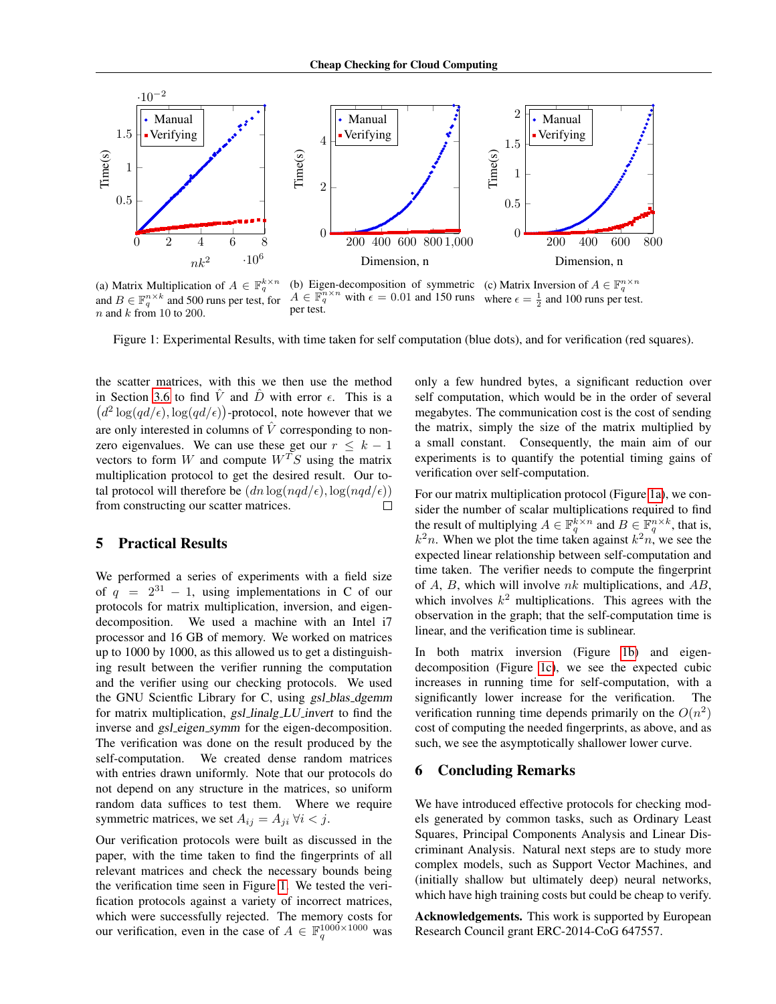<span id="page-7-1"></span>

(a) Matrix Multiplication of  $A \in \mathbb{F}_q^{k \times n}$ and  $B \in \mathbb{F}_q^{n \times k}$  and 500 runs per test, for  $n$  and  $k$  from 10 to 200. (b) Eigen-decomposition of symmetric  $A \in \mathbb{F}_q^{n \times n}$  with  $\epsilon = 0.01$  and 150 runs per test. (c) Matrix Inversion of  $A \in \mathbb{F}_q^{n \times n}$ <br>where  $\epsilon = \frac{1}{2}$  and 100 runs per test.

Figure 1: Experimental Results, with time taken for self computation (blue dots), and for verification (red squares).

the scatter matrices, with this we then use the method in Section [3.6](#page-5-2) to find  $\hat{V}$  and  $\hat{D}$  with error  $\epsilon$ . This is a  $(d^2 \log(qd/\epsilon), \log(qd/\epsilon))$ -protocol, note however that we are only interested in columns of  $\hat{V}$  corresponding to nonzero eigenvalues. We can use these get our  $r \leq k - 1$ vectors to form W and compute  $W^T S$  using the matrix multiplication protocol to get the desired result. Our total protocol will therefore be  $(dn \log(nqd/\epsilon), \log(nqd/\epsilon))$ from constructing our scatter matrices.  $\Box$ 

# <span id="page-7-0"></span>5 Practical Results

We performed a series of experiments with a field size of  $q = 2^{31} - 1$ , using implementations in C of our protocols for matrix multiplication, inversion, and eigendecomposition. We used a machine with an Intel i7 processor and 16 GB of memory. We worked on matrices up to 1000 by 1000, as this allowed us to get a distinguishing result between the verifier running the computation and the verifier using our checking protocols. We used the GNU Scientfic Library for C, using *gsl\_blas\_dgemm* for matrix multiplication, gsl linalg LU invert to find the inverse and *gsl\_eigen\_symm* for the eigen-decomposition. The verification was done on the result produced by the self-computation. We created dense random matrices with entries drawn uniformly. Note that our protocols do not depend on any structure in the matrices, so uniform random data suffices to test them. Where we require symmetric matrices, we set  $A_{ij} = A_{ji} \ \forall i \leq j$ .

Our verification protocols were built as discussed in the paper, with the time taken to find the fingerprints of all relevant matrices and check the necessary bounds being the verification time seen in Figure [1.](#page-7-1) We tested the verification protocols against a variety of incorrect matrices, which were successfully rejected. The memory costs for our verification, even in the case of  $A \in \mathbb{F}_q^{1000 \times 1000}$  was

only a few hundred bytes, a significant reduction over self computation, which would be in the order of several megabytes. The communication cost is the cost of sending the matrix, simply the size of the matrix multiplied by a small constant. Consequently, the main aim of our experiments is to quantify the potential timing gains of verification over self-computation.

For our matrix multiplication protocol (Figure [1a\)](#page-7-1), we consider the number of scalar multiplications required to find the result of multiplying  $A \in \mathbb{F}_q^{k \times n}$  and  $B \in \mathbb{F}_q^{n \times k}$ , that is,  $k^2n$ . When we plot the time taken against  $k^2n$ , we see the expected linear relationship between self-computation and time taken. The verifier needs to compute the fingerprint of A, B, which will involve  $nk$  multiplications, and  $AB$ , which involves  $k^2$  multiplications. This agrees with the observation in the graph; that the self-computation time is linear, and the verification time is sublinear.

In both matrix inversion (Figure [1b\)](#page-7-1) and eigendecomposition (Figure [1c\)](#page-7-1), we see the expected cubic increases in running time for self-computation, with a significantly lower increase for the verification. The verification running time depends primarily on the  $O(n^2)$ cost of computing the needed fingerprints, as above, and as such, we see the asymptotically shallower lower curve.

### 6 Concluding Remarks

We have introduced effective protocols for checking models generated by common tasks, such as Ordinary Least Squares, Principal Components Analysis and Linear Discriminant Analysis. Natural next steps are to study more complex models, such as Support Vector Machines, and (initially shallow but ultimately deep) neural networks, which have high training costs but could be cheap to verify.

Acknowledgements. This work is supported by European Research Council grant ERC-2014-CoG 647557.